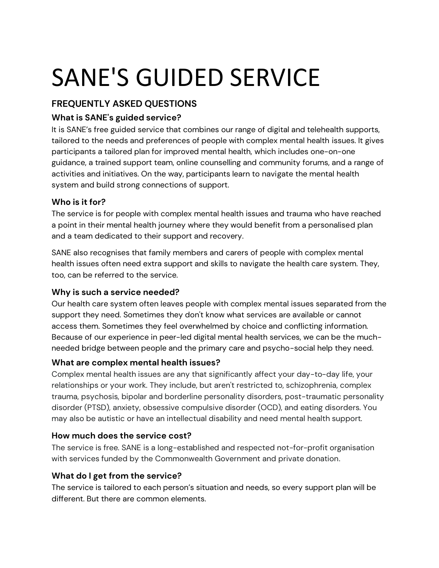# SANE'S GUIDED SERVICE

# **FREQUENTLY ASKED QUESTIONS**

# **What is SANE's guided service?**

It is SANE's free guided service that combines our range of digital and telehealth supports, tailored to the needs and preferences of people with complex mental health issues. It gives participants a tailored plan for improved mental health, which includes one-on-one guidance, a trained support team, online counselling and community forums, and a range of activities and initiatives. On the way, participants learn to navigate the mental health system and build strong connections of support.

## **Who is it for?**

The service is for people with complex mental health issues and trauma who have reached a point in their mental health journey where they would benefit from a personalised plan and a team dedicated to their support and recovery.

SANE also recognises that family members and carers of people with complex mental health issues often need extra support and skills to navigate the health care system. They, too, can be referred to the service.

## **Why is such a service needed?**

Our health care system often leaves people with complex mental issues separated from the support they need. Sometimes they don't know what services are available or cannot access them. Sometimes they feel overwhelmed by choice and conflicting information. Because of our experience in peer-led digital mental health services, we can be the muchneeded bridge between people and the primary care and psycho-social help they need.

## **What are complex mental health issues?**

Complex mental health issues are any that significantly affect your day-to-day life, your relationships or your work. They include, but aren't restricted to, schizophrenia, complex trauma, psychosis, bipolar and borderline personality disorders, post-traumatic personality disorder (PTSD), anxiety, obsessive compulsive disorder (OCD), and eating disorders. You may also be autistic or have an intellectual disability and need mental health support.

## **How much does the service cost?**

The service is free. SANE is a long-established and respected not-for-profit organisation with services funded by the Commonwealth Government and private donation.

## **What do I get from the service?**

The service is tailored to each person's situation and needs, so every support plan will be different. But there are common elements.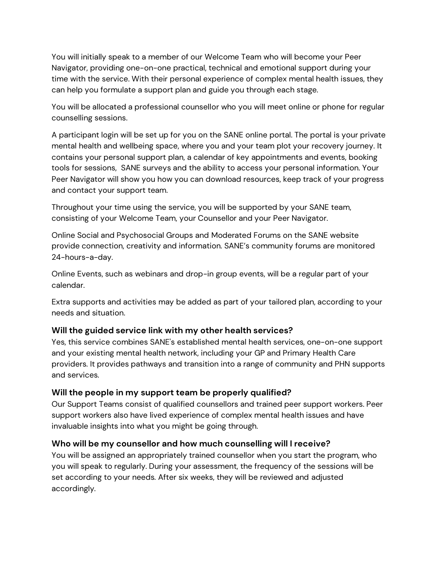You will initially speak to a member of our Welcome Team who will become your Peer Navigator, providing one-on-one practical, technical and emotional support during your time with the service. With their personal experience of complex mental health issues, they can help you formulate a support plan and guide you through each stage.

You will be allocated a professional counsellor who you will meet online or phone for regular counselling sessions.

A participant login will be set up for you on the SANE online portal. The portal is your private mental health and wellbeing space, where you and your team plot your recovery journey. It contains your personal support plan, a calendar of key appointments and events, booking tools for sessions, SANE surveys and the ability to access your personal information. Your Peer Navigator will show you how you can download resources, keep track of your progress and contact your support team.

Throughout your time using the service, you will be supported by your SANE team, consisting of your Welcome Team, your Counsellor and your Peer Navigator.

Online Social and Psychosocial Groups and Moderated Forums on the SANE website provide connection, creativity and information. SANE's community forums are monitored 24-hours-a-day.

Online Events, such as webinars and drop-in group events, will be a regular part of your calendar.

Extra supports and activities may be added as part of your tailored plan, according to your needs and situation.

#### **Will the guided service link with my other health services?**

Yes, this service combines SANE's established mental health services, one-on-one support and your existing mental health network, including your GP and Primary Health Care providers. It provides pathways and transition into a range of community and PHN supports and services.

#### **Will the people in my support team be properly qualified?**

Our Support Teams consist of qualified counsellors and trained peer support workers. Peer support workers also have lived experience of complex mental health issues and have invaluable insights into what you might be going through.

#### **Who will be my counsellor and how much counselling will I receive?**

You will be assigned an appropriately trained counsellor when you start the program, who you will speak to regularly. During your assessment, the frequency of the sessions will be set according to your needs. After six weeks, they will be reviewed and adjusted accordingly.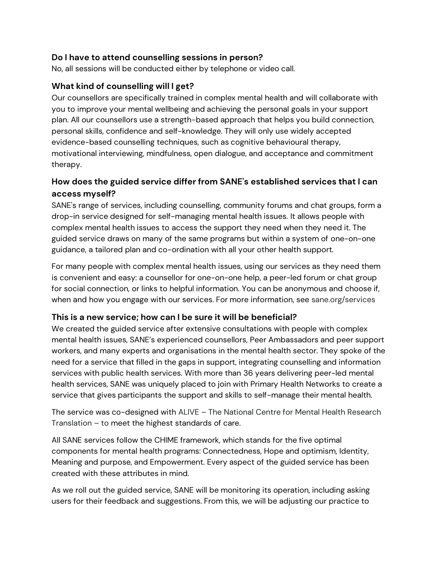#### **Do I have to attend counselling sessions in person?**

No, all sessions will be conducted either by telephone or video call.

#### **What kind of counselling will I get?**

Our counsellors are specifically trained in complex mental health and will collaborate with you to improve your mental wellbeing and achieving the personal goals in your support plan. All our counsellors use a strength-based approach that helps you build connection, personal skills, confidence and self-knowledge. They will only use widely accepted evidence-based counselling techniques, such as cognitive behavioural therapy, motivational interviewing, mindfulness, open dialogue, and acceptance and commitment therapy.

#### **How does the guided service differ from SANE's established services that I can access myself?**

SANE's range of services, including counselling, community forums and chat groups, form a drop-in service designed for self-managing mental health issues. It allows people with complex mental health issues to access the support they need when they need it. The guided service draws on many of the same programs but within a system of one-on-one guidance, a tailored plan and co-ordination with all your other health support.

For many people with complex mental health issues, using our services as they need them is convenient and easy: a counsellor for one-on-one help, a peer-led forum or chat group for social connection, or links to helpful information. You can be anonymous and choose if, when and how you engage with our services. For more information, see sane.org/services

#### **This is a new service; how can I be sure it will be beneficial?**

We created the guided service after extensive consultations with people with complex mental health issues, SANE's experienced counsellors, Peer Ambassadors and peer support workers, and many experts and organisations in the mental health sector. They spoke of the need for a service that filled in the gaps in support, integrating counselling and information services with public health services. With more than 36 years delivering peer-led mental health services, SANE was uniquely placed to join with Primary Health Networks to create a service that gives participants the support and skills to self-manage their mental health.

The service was co-designed with ALIVE – The National Centre for Mental Health Research Translation – to meet the highest standards of care.

All SANE services follow the CHIME framework, which stands for the five optimal components for mental health programs: Connectedness, Hope and optimism, Identity, Meaning and purpose, and Empowerment. Every aspect of the guided service has been created with these attributes in mind.

As we roll out the guided service, SANE will be monitoring its operation, including asking users for their feedback and suggestions. From this, we will be adjusting our practice to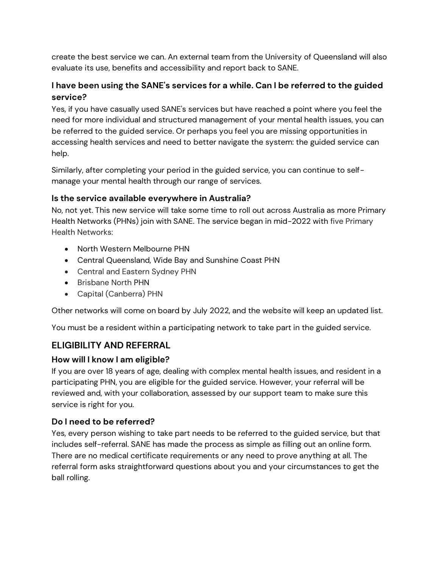create the best service we can. An external team from the University of Queensland will also evaluate its use, benefits and accessibility and report back to SANE.

## **I have been using the SANE's services for a while. Can I be referred to the guided service?**

Yes, if you have casually used SANE's services but have reached a point where you feel the need for more individual and structured management of your mental health issues, you can be referred to the guided service. Or perhaps you feel you are missing opportunities in accessing health services and need to better navigate the system: the guided service can help.

Similarly, after completing your period in the guided service, you can continue to selfmanage your mental health through our range of services.

#### **Is the service available everywhere in Australia?**

No, not yet. This new service will take some time to roll out across Australia as more Primary Health Networks (PHNs) join with SANE. The service began in mid-2022 with five Primary Health Networks:

- North Western Melbourne PHN
- Central Queensland, Wide Bay and Sunshine Coast PHN
- Central and Eastern Sydney PHN
- Brisbane North PHN
- Capital (Canberra) PHN

Other networks will come on board by July 2022, and the website will keep an updated list.

You must be a resident within a participating network to take part in the guided service.

# **ELIGIBILITY AND REFERRAL**

## **How will I know I am eligible?**

If you are over 18 years of age, dealing with complex mental health issues, and resident in a participating PHN, you are eligible for the guided service. However, your referral will be reviewed and, with your collaboration, assessed by our support team to make sure this service is right for you.

# **Do I need to be referred?**

Yes, every person wishing to take part needs to be referred to the guided service, but that includes self-referral. SANE has made the process as simple as filling out an online form. There are no medical certificate requirements or any need to prove anything at all. The referral form asks straightforward questions about you and your circumstances to get the ball rolling.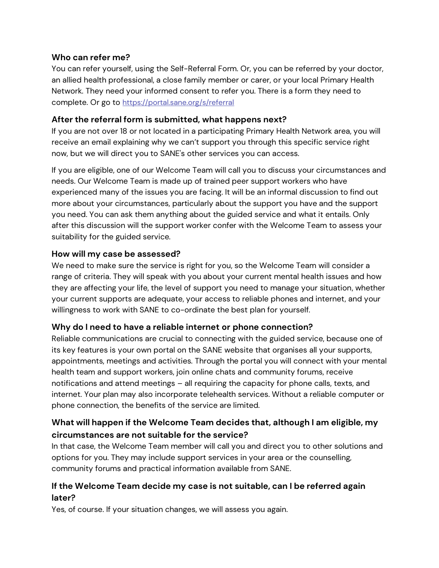#### **Who can refer me?**

You can refer yourself, using the Self-Referral Form. Or, you can be referred by your doctor, an allied health professional, a close family member or carer, or your local Primary Health Network. They need your informed consent to refer you. There is a form they need to complete. Or go to <https://portal.sane.org/s/referral>

#### **After the referral form is submitted, what happens next?**

If you are not over 18 or not located in a participating Primary Health Network area, you will receive an email explaining why we can't support you through this specific service right now, but we will direct you to SANE's other services you can access.

If you are eligible, one of our Welcome Team will call you to discuss your circumstances and needs. Our Welcome Team is made up of trained peer support workers who have experienced many of the issues you are facing. It will be an informal discussion to find out more about your circumstances, particularly about the support you have and the support you need. You can ask them anything about the guided service and what it entails. Only after this discussion will the support worker confer with the Welcome Team to assess your suitability for the guided service.

#### **How will my case be assessed?**

We need to make sure the service is right for you, so the Welcome Team will consider a range of criteria. They will speak with you about your current mental health issues and how they are affecting your life, the level of support you need to manage your situation, whether your current supports are adequate, your access to reliable phones and internet, and your willingness to work with SANE to co-ordinate the best plan for yourself.

## **Why do I need to have a reliable internet or phone connection?**

Reliable communications are crucial to connecting with the guided service, because one of its key features is your own portal on the SANE website that organises all your supports, appointments, meetings and activities. Through the portal you will connect with your mental health team and support workers, join online chats and community forums, receive notifications and attend meetings – all requiring the capacity for phone calls, texts, and internet. Your plan may also incorporate telehealth services. Without a reliable computer or phone connection, the benefits of the service are limited.

## **What will happen if the Welcome Team decides that, although I am eligible, my circumstances are not suitable for the service?**

In that case, the Welcome Team member will call you and direct you to other solutions and options for you. They may include support services in your area or the counselling, community forums and practical information available from SANE.

## **If the Welcome Team decide my case is not suitable, can I be referred again later?**

Yes, of course. If your situation changes, we will assess you again.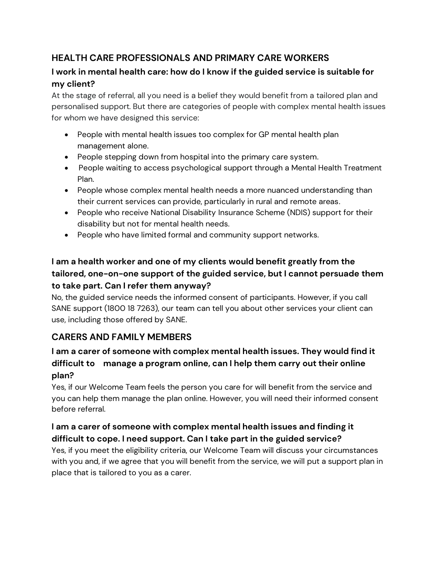# **HEALTH CARE PROFESSIONALS AND PRIMARY CARE WORKERS**

## **I work in mental health care: how do I know if the guided service is suitable for my client?**

At the stage of referral, all you need is a belief they would benefit from a tailored plan and personalised support. But there are categories of people with complex mental health issues for whom we have designed this service:

- People with mental health issues too complex for GP mental health plan management alone.
- People stepping down from hospital into the primary care system.
- People waiting to access psychological support through a Mental Health Treatment Plan.
- People whose complex mental health needs a more nuanced understanding than their current services can provide, particularly in rural and remote areas.
- People who receive National Disability Insurance Scheme (NDIS) support for their disability but not for mental health needs.
- People who have limited formal and community support networks.

# **I am a health worker and one of my clients would benefit greatly from the tailored, one-on-one support of the guided service, but I cannot persuade them to take part. Can I refer them anyway?**

No, the guided service needs the informed consent of participants. However, if you call SANE support (1800 18 7263), our team can tell you about other services your client can use, including those offered by SANE.

# **CARERS AND FAMILY MEMBERS**

# **I am a carer of someone with complex mental health issues. They would find it difficult to manage a program online, can I help them carry out their online plan?**

Yes, if our Welcome Team feels the person you care for will benefit from the service and you can help them manage the plan online. However, you will need their informed consent before referral.

## **I am a carer of someone with complex mental health issues and finding it difficult to cope. I need support. Can I take part in the guided service?**

Yes, if you meet the eligibility criteria, our Welcome Team will discuss your circumstances with you and, if we agree that you will benefit from the service, we will put a support plan in place that is tailored to you as a carer.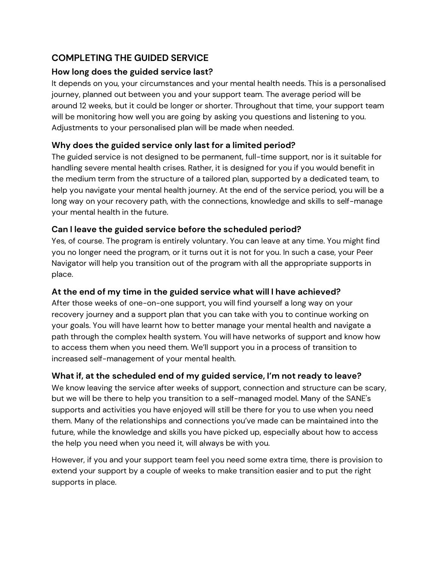# **COMPLETING THE GUIDED SERVICE**

#### **How long does the guided service last?**

It depends on you, your circumstances and your mental health needs. This is a personalised journey, planned out between you and your support team. The average period will be around 12 weeks, but it could be longer or shorter. Throughout that time, your support team will be monitoring how well you are going by asking you questions and listening to you. Adjustments to your personalised plan will be made when needed.

## **Why does the guided service only last for a limited period?**

The guided service is not designed to be permanent, full-time support, nor is it suitable for handling severe mental health crises. Rather, it is designed for you if you would benefit in the medium term from the structure of a tailored plan, supported by a dedicated team, to help you navigate your mental health journey. At the end of the service period, you will be a long way on your recovery path, with the connections, knowledge and skills to self-manage your mental health in the future.

## **Can I leave the guided service before the scheduled period?**

Yes, of course. The program is entirely voluntary. You can leave at any time. You might find you no longer need the program, or it turns out it is not for you. In such a case, your Peer Navigator will help you transition out of the program with all the appropriate supports in place.

## **At the end of my time in the guided service what will I have achieved?**

After those weeks of one-on-one support, you will find yourself a long way on your recovery journey and a support plan that you can take with you to continue working on your goals. You will have learnt how to better manage your mental health and navigate a path through the complex health system. You will have networks of support and know how to access them when you need them. We'll support you in a process of transition to increased self-management of your mental health.

## **What if, at the scheduled end of my guided service, I'm not ready to leave?**

We know leaving the service after weeks of support, connection and structure can be scary, but we will be there to help you transition to a self-managed model. Many of the SANE's supports and activities you have enjoyed will still be there for you to use when you need them. Many of the relationships and connections you've made can be maintained into the future, while the knowledge and skills you have picked up, especially about how to access the help you need when you need it, will always be with you.

However, if you and your support team feel you need some extra time, there is provision to extend your support by a couple of weeks to make transition easier and to put the right supports in place.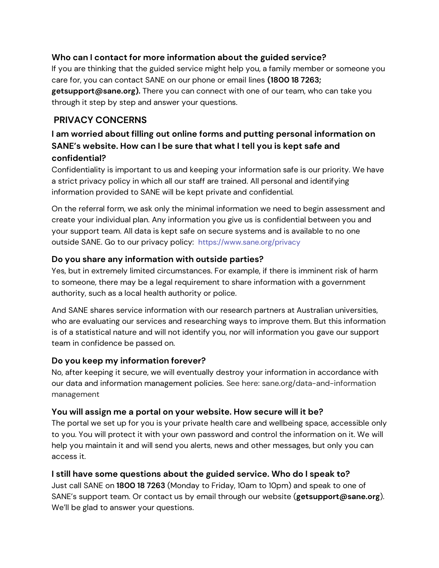#### **Who can I contact for more information about the guided service?**

If you are thinking that the guided service might help you, a family member or someone you care for, you can contact SANE on our phone or email lines **(1800 18 7263; getsupport@sane.org).** There you can connect with one of our team, who can take you through it step by step and answer your questions.

## **PRIVACY CONCERNS**

# **I am worried about filling out online forms and putting personal information on SANE's website. How can I be sure that what I tell you is kept safe and confidential?**

Confidentiality is important to us and keeping your information safe is our priority. We have a strict privacy policy in which all our staff are trained. All personal and identifying information provided to SANE will be kept private and confidential.

On the referral form, we ask only the minimal information we need to begin assessment and create your individual plan. Any information you give us is confidential between you and your support team. All data is kept safe on secure systems and is available to no one outside SANE. Go to our privacy policy: <https://www.sane.org/privacy>

#### **Do you share any information with outside parties?**

Yes, but in extremely limited circumstances. For example, if there is imminent risk of harm to someone, there may be a legal requirement to share information with a government authority, such as a local health authority or police.

And SANE shares service information with our research partners at Australian universities, who are evaluating our services and researching ways to improve them. But this information is of a statistical nature and will not identify you, nor will information you gave our support team in confidence be passed on.

#### **Do you keep my information forever?**

No, after keeping it secure, we will eventually destroy your information in accordance with our data and information management policies. See here: sane.org/data-and-information management

#### **You will assign me a portal on your website. How secure will it be?**

The portal we set up for you is your private health care and wellbeing space, accessible only to you. You will protect it with your own password and control the information on it. We will help you maintain it and will send you alerts, news and other messages, but only you can access it.

## **I still have some questions about the guided service. Who do I speak to?**

Just call SANE on **1800 18 7263** (Monday to Friday, 10am to 10pm) and speak to one of SANE's support team. Or contact us by email through our website (**getsupport@sane.org**). We'll be glad to answer your questions.